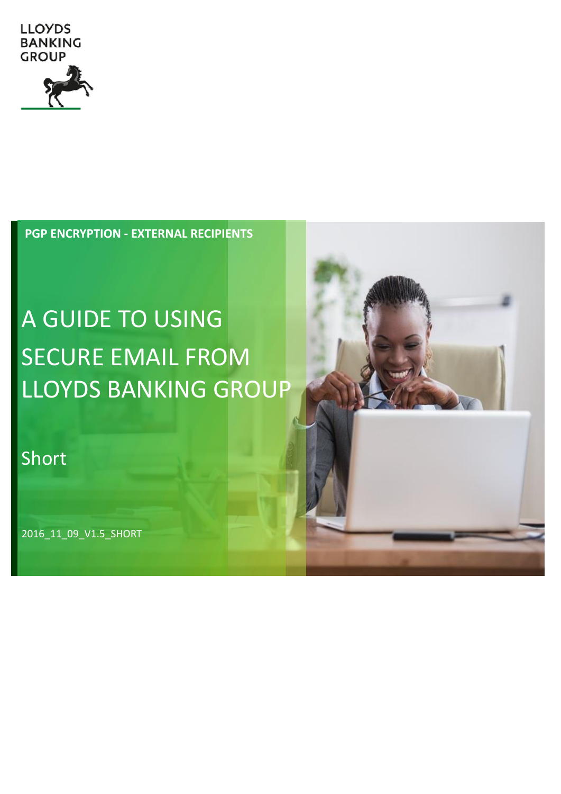

**PGP ENCRYPTION - EXTERNAL RECIPIENTS**

# A GUIDE TO USING SECURE EMAIL FROM LLOYDS BANKING GROUP

### Short

2016\_11\_09\_V1.5\_SHORT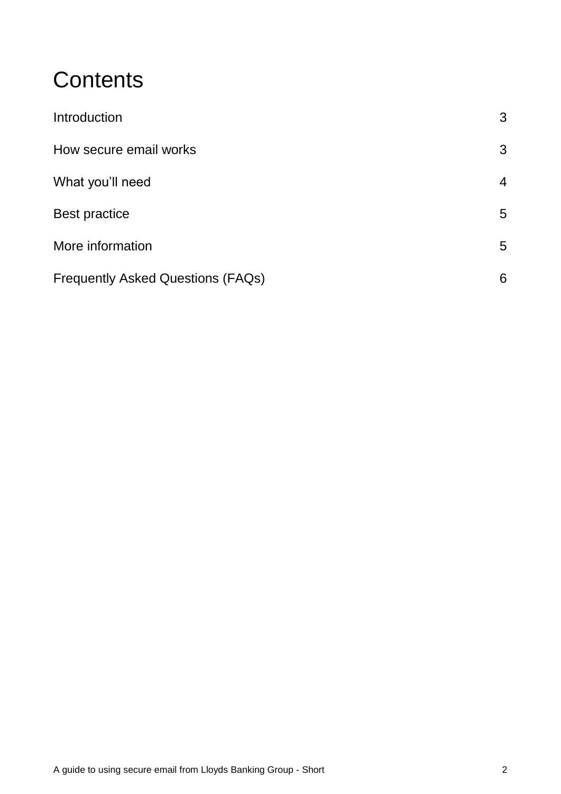### **Contents**

| Introduction                             | 3              |
|------------------------------------------|----------------|
| How secure email works                   | 3              |
| What you'll need                         | $\overline{4}$ |
| <b>Best practice</b>                     | 5              |
| More information                         | 5              |
| <b>Frequently Asked Questions (FAQs)</b> | 6              |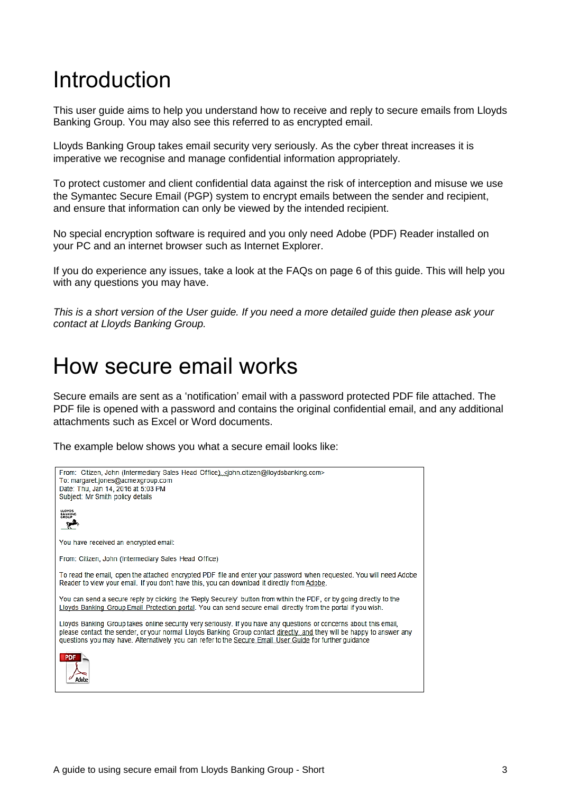### <span id="page-2-0"></span>Introduction

This user guide aims to help you understand how to receive and reply to secure emails from Lloyds Banking Group. You may also see this referred to as encrypted email.

Lloyds Banking Group takes email security very seriously. As the cyber threat increases it is imperative we recognise and manage confidential information appropriately.

To protect customer and client confidential data against the risk of interception and misuse we use the Symantec Secure Email (PGP) system to encrypt emails between the sender and recipient, and ensure that information can only be viewed by the intended recipient.

No special encryption software is required and you only need Adobe (PDF) Reader installed on your PC and an internet browser such as Internet Explorer.

If you do experience any issues, take a look at the FAQs on page 6 of this guide. This will help you with any questions you may have.

*This is a short version of the User guide. If you need a more detailed guide then please ask your contact at Lloyds Banking Group.* 

### <span id="page-2-1"></span>How secure email works

Secure emails are sent as a 'notification' email with a password protected PDF file attached. The PDF file is opened with a password and contains the original confidential email, and any additional attachments such as Excel or Word documents.

The example below shows you what a secure email looks like:

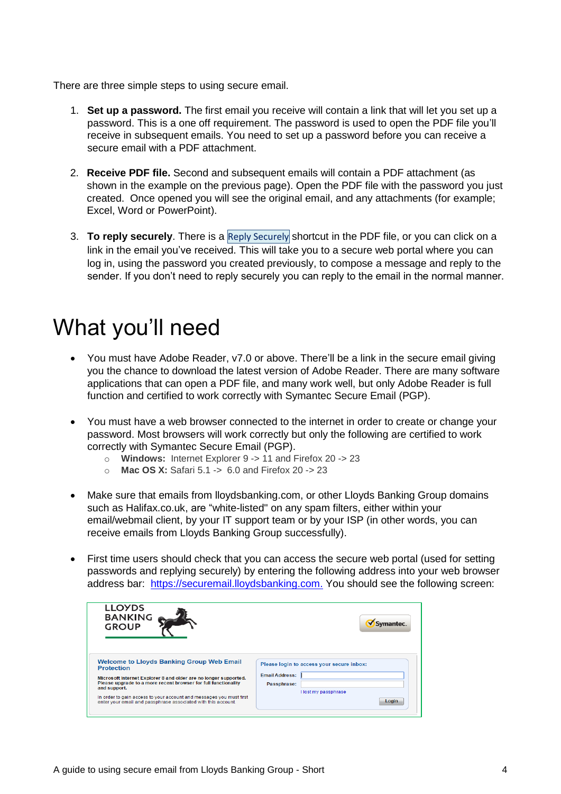There are three simple steps to using secure email.

- 1. **Set up a password.** The first email you receive will contain a link that will let you set up a password. This is a one off requirement. The password is used to open the PDF file you'll receive in subsequent emails. You need to set up a password before you can receive a secure email with a PDF attachment.
- 2. **Receive PDF file.** Second and subsequent emails will contain a PDF attachment (as shown in the example on the previous page). Open the PDF file with the password you just created. Once opened you will see the original email, and any attachments (for example; Excel, Word or PowerPoint).
- 3. **To reply securely**. There is a Reply Securely shortcut in the PDF file, or you can click on a link in the email you've received. This will take you to a secure web portal where you can log in, using the password you created previously, to compose a message and reply to the sender. If you don't need to reply securely you can reply to the email in the normal manner.

### <span id="page-3-0"></span>What you'll need

- You must have Adobe Reader, v7.0 or above. There'll be a link in the secure email giving you the chance to download the latest version of Adobe Reader. There are many software applications that can open a PDF file, and many work well, but only Adobe Reader is full function and certified to work correctly with Symantec Secure Email (PGP).
- You must have a web browser connected to the internet in order to create or change your password. Most browsers will work correctly but only the following are certified to work correctly with Symantec Secure Email (PGP).
	- o **Windows:** Internet Explorer 9 -> 11 and Firefox 20 -> 23
	- o **Mac OS X:** Safari 5.1 -> 6.0 and Firefox 20 -> 23
- Make sure that emails from lloydsbanking.com, or other Lloyds Banking Group domains such as Halifax.co.uk, are "white-listed" on any spam filters, either within your email/webmail client, by your IT support team or by your ISP (in other words, you can receive emails from Lloyds Banking Group successfully).
- First time users should check that you can access the secure web portal (used for setting passwords and replying securely) by entering the following address into your web browser address bar: [https://securemail.lloydsbanking.com.](https://securemail.lloydsbanking.com/) You should see the following screen:

| <b>LLOYDS</b><br><b>BANKING</b><br>GROUP                                                                                                           | iantec.                                                      |
|----------------------------------------------------------------------------------------------------------------------------------------------------|--------------------------------------------------------------|
| <b>Welcome to Lloyds Banking Group Web Email</b><br><b>Protection</b>                                                                              | Please login to access your secure inbox:                    |
| Microsoft Internet Explorer 8 and older are no longer supported.<br>Please upgrade to a more recent browser for full functionality<br>and support. | <b>Email Address:</b><br>Passphrase:<br>I lost my passphrase |
| In order to gain access to your account and messages you must first<br>enter your email and passphrase associated with this account.               | Login                                                        |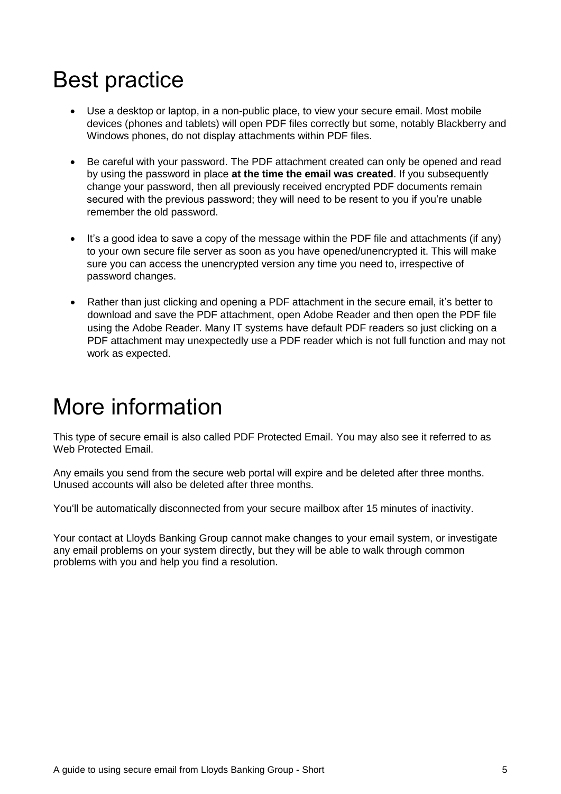### <span id="page-4-0"></span>Best practice

- Use a desktop or laptop, in a non-public place, to view your secure email. Most mobile devices (phones and tablets) will open PDF files correctly but some, notably Blackberry and Windows phones, do not display attachments within PDF files.
- Be careful with your password. The PDF attachment created can only be opened and read by using the password in place **at the time the email was created**. If you subsequently change your password, then all previously received encrypted PDF documents remain secured with the previous password; they will need to be resent to you if you're unable remember the old password.
- It's a good idea to save a copy of the message within the PDF file and attachments (if any) to your own secure file server as soon as you have opened/unencrypted it. This will make sure you can access the unencrypted version any time you need to, irrespective of password changes.
- Rather than just clicking and opening a PDF attachment in the secure email, it's better to download and save the PDF attachment, open Adobe Reader and then open the PDF file using the Adobe Reader. Many IT systems have default PDF readers so just clicking on a PDF attachment may unexpectedly use a PDF reader which is not full function and may not work as expected.

## <span id="page-4-1"></span>More information

This type of secure email is also called PDF Protected Email. You may also see it referred to as Web Protected Email.

Any emails you send from the secure web portal will expire and be deleted after three months. Unused accounts will also be deleted after three months.

You'll be automatically disconnected from your secure mailbox after 15 minutes of inactivity.

Your contact at Lloyds Banking Group cannot make changes to your email system, or investigate any email problems on your system directly, but they will be able to walk through common problems with you and help you find a resolution.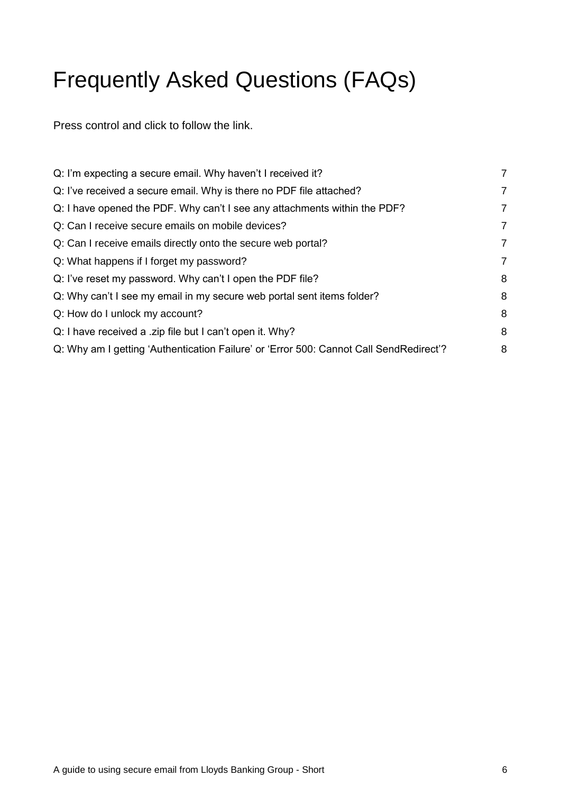# <span id="page-5-0"></span>Frequently Asked Questions (FAQs)

Press control and click to follow the link.

| $\overline{7}$ |
|----------------|
| 7              |
| $\overline{7}$ |
| 7              |
| $\overline{7}$ |
| 7              |
| 8              |
| 8              |
| 8              |
| 8              |
| 8              |
|                |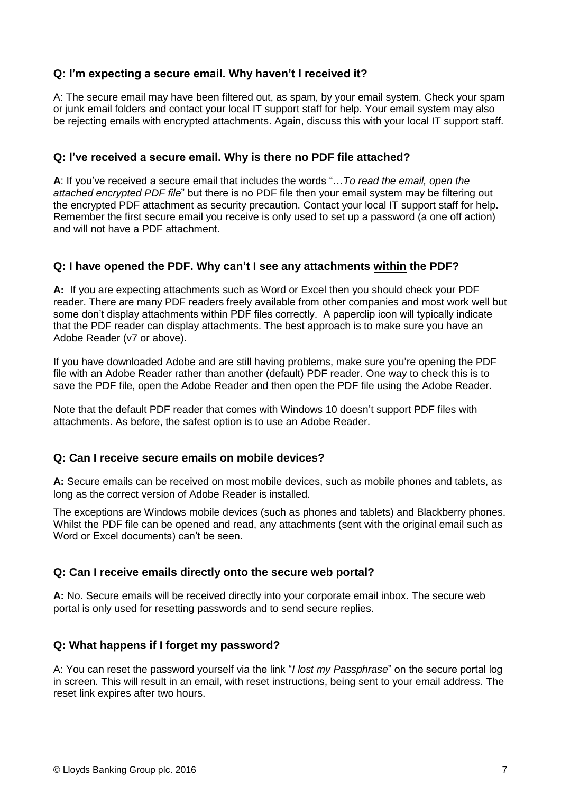#### <span id="page-6-0"></span>**Q: I'm expecting a secure email. Why haven't I received it?**

A: The secure email may have been filtered out, as spam, by your email system. Check your spam or junk email folders and contact your local IT support staff for help. Your email system may also be rejecting emails with encrypted attachments. Again, discuss this with your local IT support staff.

#### <span id="page-6-1"></span>**Q: I've received a secure email. Why is there no PDF file attached?**

**A**: If you've received a secure email that includes the words "…*To read the email, open the attached encrypted PDF file*" but there is no PDF file then your email system may be filtering out the encrypted PDF attachment as security precaution. Contact your local IT support staff for help. Remember the first secure email you receive is only used to set up a password (a one off action) and will not have a PDF attachment.

#### <span id="page-6-2"></span>**Q: I have opened the PDF. Why can't I see any attachments within the PDF?**

**A:** If you are expecting attachments such as Word or Excel then you should check your PDF reader. There are many PDF readers freely available from other companies and most work well but some don't display attachments within PDF files correctly. A paperclip icon will typically indicate that the PDF reader can display attachments. The best approach is to make sure you have an Adobe Reader (v7 or above).

If you have downloaded Adobe and are still having problems, make sure you're opening the PDF file with an Adobe Reader rather than another (default) PDF reader. One way to check this is to save the PDF file, open the Adobe Reader and then open the PDF file using the Adobe Reader.

Note that the default PDF reader that comes with Windows 10 doesn't support PDF files with attachments. As before, the safest option is to use an Adobe Reader.

#### <span id="page-6-3"></span>**Q: Can I receive secure emails on mobile devices?**

**A:** Secure emails can be received on most mobile devices, such as mobile phones and tablets, as long as the correct version of Adobe Reader is installed.

The exceptions are Windows mobile devices (such as phones and tablets) and Blackberry phones. Whilst the PDF file can be opened and read, any attachments (sent with the original email such as Word or Excel documents) can't be seen.

#### <span id="page-6-4"></span>**Q: Can I receive emails directly onto the secure web portal?**

**A:** No. Secure emails will be received directly into your corporate email inbox. The secure web portal is only used for resetting passwords and to send secure replies.

#### <span id="page-6-5"></span>**Q: What happens if I forget my password?**

A: You can reset the password yourself via the link "*I lost my Passphrase*" on the secure portal log in screen. This will result in an email, with reset instructions, being sent to your email address. The reset link expires after two hours.